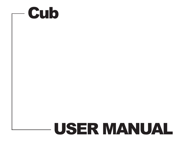

# USER MANUAL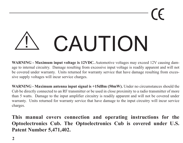$\epsilon$ 

## CAUTION <u>!</u>

**WARNING - Maximum input voltage is 12VDC.** Automotive voltages may exceed 12V causing damage to internal circuitry. Damage resulting from excessive input voltage is readily apparent and will not be covered under warranty. Units returned for warranty service that have damage resulting from excessive supply voltages will incur service charges.

**WARNING - Maximum antenna input signal is +15dBm (50mW).** Under no circumstances should the Cub be directly connected to an RF transmitter or be used in close proximity to a radio transmitter of more than 5 watts. Damage to the input amplifier circuitry is readily apparent and will not be covered under warranty. Units returned for warranty service that have damage to the input circuitry will incur service charges.

**This manual covers connection and operating instructions for the Optoelectronics Cub. The Optoelectronics Cub is covered under U.S. Patent Number 5,471,402.**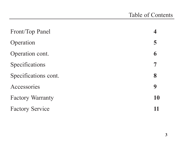| Front/Top Panel         |    |
|-------------------------|----|
| Operation               | 5  |
| Operation cont.         | 6  |
| Specifications          |    |
| Specifications cont.    | 8  |
| Accessories             | 9  |
| <b>Factory Warranty</b> | 10 |
| <b>Factory Service</b>  |    |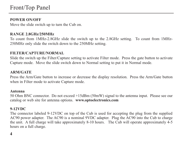### Front/Top Panel

#### **POWER ON/OFF**

Move the slide switch up to turn the Cub on.

#### **RANGE 2.8GHz/250MHz**

To count from 1MHz-2.8GHz slide the switch up to the 2.8GHz setting. To count from 1MHz-250MHz only slide the switch down to the 250MHz setting.

#### **FILTER/CAPTURE/NORMAL**

Slide the switch up the Filter/Capture setting to activate Filter mode. Press the gate button to activate Capture mode. Move the slide switch down to Normal setting to put it in Normal mode.

#### **ARM/GATE**

Press the Arm/Gate button to increase or decrease the display resolution. Press the Arm/Gate button when in Filter mode to activate Capture mode.

#### **Antenna**

50 Ohm BNC connector. Do not exceed +15dBm (50mW) signal to the antenna input. Please see our catalog or web site for antenna options. **www.optoelectronics.com**

#### **9-12VDC**

The connector labeled 9-12VDC on top of the Cub is used for accepting the plug from the supplied AC90 power adapter. The AC90 is a nominal 9VDC adapter. Plug the AC90 into the Cub to charge the unit. A full charge will take approximately 8-10 hours. The Cub will operate approximately 4-5 hours on a full charge.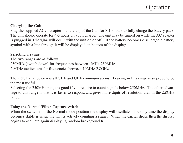#### **Charging the Cub**

Plug the supplied AC90 adapter into the top of the Cub for 8-10 hours to fully charge the battery pack. The unit should operate for 4-5 hours on a full charge. The unit may be turned on while the AC adapter is plugged in. Charging will occur with the unit on or off. If the battery becomes discharged a battery symbol with a line through it will be displayed on bottom of the display.

#### **Selecting a range**

The two ranges are as follows: 250MHz (switch down) for frequencies between 1MHz-250MHz 2.8GHz (switch up) for frequencies between 10MHz-2.8GHz

The 2.8GHz range covers all VHF and UHF communications. Leaving in this range may prove to be the most useful.

Selecting the 250MHz range is good if you require to count signals below 250MHz. The other advantage to this range is that it is faster to respond and gives more digits of resolution than in the 2.8GHz range.

#### **Using the Normal/Filter-Capture switch**

When the switch is in the Normal mode position the display will oscillate. The only time the display becomes stable is when the unit is actively counting a signal. When the carrier drops then the display begins to oscillate again displaying random background RF.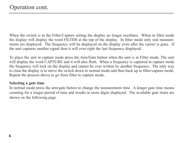When the switch is in the Filter/Capture setting the display no longer oscillates. When in filter mode the display will display the word FILTER at the top of the display. In filter mode only real measurements are displayed. The frequency will be displayed on the display even after the carrier is gone. If the unit captures another signal then it will over right the last frequency displayed.

To place the unit in capture mode press the Arm/Gate button when the unit is in Filter mode. The unit will display the word CAPTURE and it will also flash. When a frequency is captured in capture mode the frequency will lock on the display and cannot be over written by another frequency. The only way to clear the display is to move the switch down to normal mode and then back up to filter/capture mode. Repeat the process above to go from filter to capture mode.

#### **Selecting a gate time**

In normal mode press the arm/gate button to change the measurement time. A longer gate time means counting for a longer period of time and results in more digits displayed. The available gate times are shown on the following page.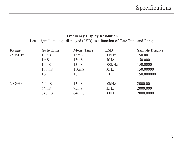#### **Frequency Display Resolution**

Least significant digit displayed (LSD) as a function of Gate Time and Range

| Range  | <b>Gate Time</b>   | Meas. Time        | <b>LSD</b> | <b>Sample Display</b> |
|--------|--------------------|-------------------|------------|-----------------------|
| 250MHz | 100us              | 13 <sub>m</sub> S | 10kHz      | 150.00                |
|        | 1 <sub>m</sub> S   | 13 <sub>ms</sub>  | 1kHz       | 150.000               |
|        | 10 <sub>ms</sub>   | 13 <sub>ms</sub>  | 100kHz     | 150,0000              |
|        | 100 <sub>ms</sub>  | 110mS             | 10Hz       | 150.00000             |
|        | 1S                 | 1S                | 1Hz        | 150.000000            |
| 2.8GHz | 6.4 <sub>m</sub> S | 13 <sub>ms</sub>  | 10kHz      | 2000.00               |
|        | 64 <sub>ms</sub>   | 75 <sub>ms</sub>  | 1kHz       | 2000.000              |
|        | 640mS              | 640mS             | 100Hz      | 2000.0000             |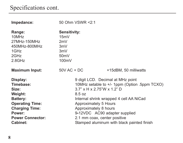## Specifications cont.

| Impedance:                                                                                                                                                              | 50 Ohm VSWR <2:1                                                                                                                                                                                                                                                                                                                         |                       |
|-------------------------------------------------------------------------------------------------------------------------------------------------------------------------|------------------------------------------------------------------------------------------------------------------------------------------------------------------------------------------------------------------------------------------------------------------------------------------------------------------------------------------|-----------------------|
| Range:<br>10MHz<br>27MHz-150MHz<br>450MHz-800MHz<br>1GHz<br>2GHz<br>2.8GHz                                                                                              | <b>Sensitivity:</b><br>15mV<br>2mV<br>3mV<br>3mV<br>50 <sub>m</sub><br>100mV                                                                                                                                                                                                                                                             |                       |
| <b>Maximum Input:</b>                                                                                                                                                   | $50V$ AC + DC                                                                                                                                                                                                                                                                                                                            | +15dBM, 50 milliwatts |
| Display:<br>Timebase:<br>Size:<br>Weight:<br><b>Battery:</b><br><b>Operating Time:</b><br><b>Charging Time:</b><br>Power:<br><b>Power Connector:</b><br><b>Cabinet:</b> | 9 digit LCD. Decimal at MHz point<br>10MHz setable to +/- 1ppm (Option .5ppm TCXO)<br>$3.7"$ x H x 2.75"W x 1.2" D<br>8.5 oz<br>Internal shrink wrapped 4 cell AA NiCad<br>Approximately 5 Hours<br>Approximately 8 hours<br>9-12VDC AC90 adapter supplied<br>2.1 mm coax, center positive<br>Stamped aluminum with black painted finish |                       |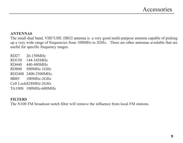#### **ANTENNAS**

The small dual band, VHF/UHF, DB32 antenna is a very good multi-purpose antenna capable of picking up a very wide range of frequencies from 100MHz to 2GHz. There are other antennas available that are useful for specific frequency ranges.

RD27 26-150MHz RD150 144-165MHz RD440 440-480MHz RD800 500MHz-1GHz RD2400 2400-2500MHz. BB85 100MHz-2GHz Cell Lock824MHz-2GHz TA100S 100MHz-600MHz

#### **FILTERS**

The N100 FM broadcast notch filter will remove the influence from local FM stations.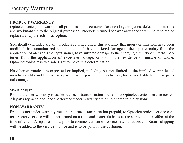#### **PRODUCT WARRANTY**

Optoelectronics, Inc. warrants all products and accessories for one (1) year against defects in materials and workmanship to the original purchaser. Products returned for warranty service will be repaired or replaced at Optoelectronics' option.

Specifically excluded are any products returned under this warranty that upon examination, have been modified, had unauthorized repairs attempted, have suffered damage to the input circuitry from the application of an excessive input signal, have suffered damage to the charging circuitry or internal batteries from the application of excessive voltage, or show other evidence of misuse or abuse. Optoelectronics reserves sole right to make this determination.

No other warranties are expressed or implied, including but not limited to the implied warranties of merchantability and fitness for a particular purpose. Optoelectronics, Inc. is not liable for consequential damages.

#### **WARRANTY**

Products under warranty must be returned, transportation prepaid, to Optoelectronics' service center. All parts replaced and labor performed under warranty are at no charge to the customer.

#### **NON-WARRANTY**

Products not under warranty must be returned, transportation prepaid, to Optoelectronics' service center. Factory service will be performed on a time and materials basis at the service rate in effect at the time of repair. A repair estimate prior to commencement of service may be requested. Return shipping will be added to the service invoice and is to be paid by the customer.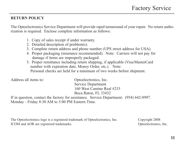#### **RETURN POLICY**

The Optoelectronics Service Department will provide rapid turnaround of your repair. No return authorization is required. Enclose complete information as follows:

- 1. Copy of sales receipt if under warranty.
- 2. Detailed description of problem(s).
- 3. Complete return address and phone number (UPS street address for USA).
- 4. Proper packaging (insurance recommended). Note: Carriers will not pay for damage if items are improperly packaged.
- 5. Proper remittance including return shipping, if applicable (Visa/MasterCard number with expiration date, Money Order, etc.). Note: Personal checks are held for a minimum of two weeks before shipment.

| Address all items to: | Optoelectronics, Inc.                                                                  |
|-----------------------|----------------------------------------------------------------------------------------|
|                       | Service Department                                                                     |
|                       | 160 West Camino Real #233                                                              |
|                       | Boca Raton, FL 33432                                                                   |
|                       | If in question, contact the factory for assistance. Service Department: (954) 642-8997 |

ssistance. Service Department Monday - Friday 8:30 AM to 5:00 PM Eastern Time.

The Optoelectronics logo is a registered trademark of Optoelectronics, Inc. Copyright 2008 ICOM and AOR are registered trademarks. Optoelectronics, Inc.